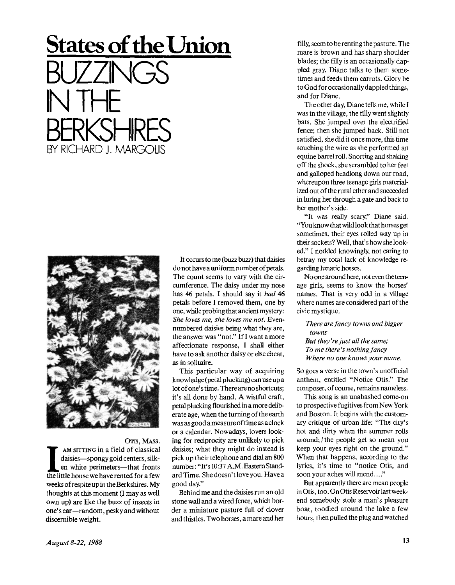## **States of the Union**  BUZZINGS IN THE BERKSHIRES BY RICHARD J. MARGOLIS



OTIS, MASS.

**I** AM SITTING in a field of classical daisies—spongy gold centers, silken white perimeters—that fronts the little house we have rented for a few AM SITTING in a field of classical daisies—spongy gold centers, silken white perimeters—that fronts weeksofrespiteupintheBerkshires. My thoughts at this moment (I may as well own up) are like the buzz of insects in one'sear—random, pesky and without discernible weight.

It occurs to me (buzz buzz) that daisies do not have a uniform number of petals. The count seems to vary with the circumference. The daisy under my nose has 46 petals. I should say it *had* 46 petals before I removed them, one by one, while probing that ancient mystery: *She loves me, she loves me not.* Evennumbered daisies being what they are, the answer was " not." If I want a more affectionate response, I shall either have to ask another daisy or else cheat, as in solitaire.

This particular way of acquiring knowledge (petal plucking) can use up a lot of one's time. There are no shortcuts; it's all done by hand. A wistful craft, petal plucking flourished in a more deliberate age, when the turning of the earth was as good a measure of time as a clock or a calendar. Nowadays, lovers looking for reciprocity are unlikely to pick daisies; what they might do instead is pick up their telephone and dial an 800 number: "It's 10:37 A.M. EasternStandardTime. She doesn'tloveyou. Havea good day."

Behind me and the daisies run an old stone wall and a wired fence, which border a miniature pasture full of clover and thistles. Two horses, a mare and her

filly, seem to be renting the pasture. The mare is brown and has sharp shoulder blades; the filly is an occasionally dappled gray. Diane talks to them sometimes and feeds them carrots. Glory be to God for occasionally dappled things, and for Diane.

The other day, Diane tells me, while I was in the village, the filly went slightly bats. She jumped over the electrified fence; then she jumped back. Still not satisfied, she did it once more, this time touching the wire as she performed an equine barrel roll. Snorting and shaking off the shock, she scrambled to her feet and galloped headlong down our road, whereupon three teenage girls materialized out of the rural ether and succeeded in luring her through a gate and back to her mother's side.

"It was really scary," Diane said. "You know that wild look that horses get sometimes, their eyes rolled way up in their sockets? Well, that's how she looked." I nodded knowingly, not caring to betray my total lack of knowledge regarding lunatic horses.

No one around here, not even the teenage girls, seems to know the horses' names. That is very odd in a village where names are considered part of the civic mystique.

*There are fancy towns and bigger towns But they're just all the same; To me there's nothing fancy Where no one knows your name.* 

So goes a verse in the town's unofficial anthem, entitled "Notice Otis." The composer, of course, remains nameless.

This song is an unabashed come-on to prospective fugitives from New York and Boston. It begins with the customary critique of urban life: "The city's hot and dirty when the summer rolls around; / the people get so mean you keep your eyes right on the ground." When that happens, according to the lyrics, it's time to "notice Otis, and soon your aches will mend...."

But apparently there are mean people in Otis, too. On Otis Reservoir last weekend somebody stole a man's pleasure boat, toodled around the lake a few hours, then pulled the plug and watched